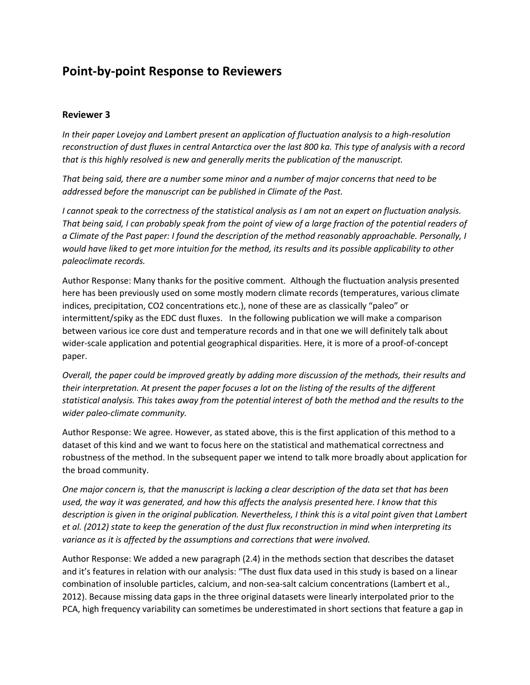# **Point-by-point Response to Reviewers**

### **Reviewer 3**

*In their paper Lovejoy and Lambert present an application of fluctuation analysis to a high-resolution reconstruction of dust fluxes in central Antarctica over the last 800 ka. This type of analysis with a record that is this highly resolved is new and generally merits the publication of the manuscript.*

*That being said, there are a number some minor and a number of major concerns that need to be addressed before the manuscript can be published in Climate of the Past.*

*I cannot speak to the correctness of the statistical analysis as I am not an expert on fluctuation analysis. That being said, I can probably speak from the point of view of a large fraction of the potential readers of a Climate of the Past paper: I found the description of the method reasonably approachable. Personally, I would have liked to get more intuition for the method, its results and its possible applicability to other paleoclimate records.*

Author Response: Many thanks for the positive comment. Although the fluctuation analysis presented here has been previously used on some mostly modern climate records (temperatures, various climate indices, precipitation, CO2 concentrations etc.), none of these are as classically "paleo" or intermittent/spiky as the EDC dust fluxes. In the following publication we will make a comparison between various ice core dust and temperature records and in that one we will definitely talk about wider-scale application and potential geographical disparities. Here, it is more of a proof-of-concept paper.

*Overall, the paper could be improved greatly by adding more discussion of the methods, their results and their interpretation. At present the paper focuses a lot on the listing of the results of the different statistical analysis. This takes away from the potential interest of both the method and the results to the wider paleo-climate community.*

Author Response: We agree. However, as stated above, this is the first application of this method to a dataset of this kind and we want to focus here on the statistical and mathematical correctness and robustness of the method. In the subsequent paper we intend to talk more broadly about application for the broad community.

*One major concern is, that the manuscript is lacking a clear description of the data set that has been used, the way it was generated, and how this affects the analysis presented here. I know that this description is given in the original publication. Nevertheless, I think this is a vital point given that Lambert et al. (2012) state to keep the generation of the dust flux reconstruction in mind when interpreting its variance as it is affected by the assumptions and corrections that were involved.*

Author Response: We added a new paragraph (2.4) in the methods section that describes the dataset and it's features in relation with our analysis: "The dust flux data used in this study is based on a linear combination of insoluble particles, calcium, and non-sea-salt calcium concentrations (Lambert et al., 2012). Because missing data gaps in the three original datasets were linearly interpolated prior to the PCA, high frequency variability can sometimes be underestimated in short sections that feature a gap in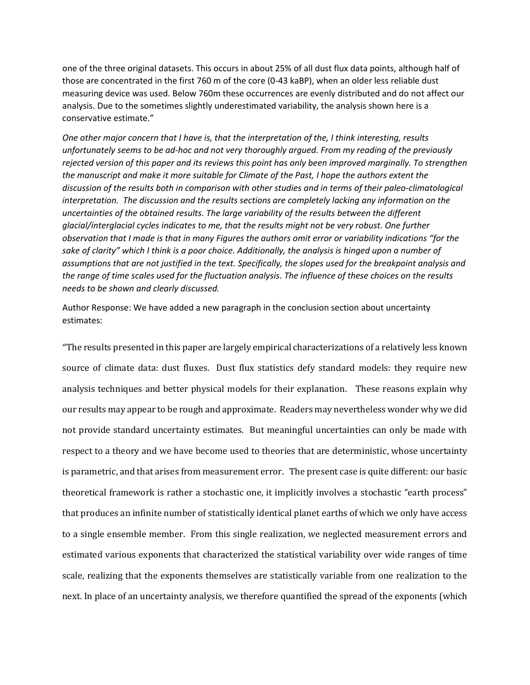one of the three original datasets. This occurs in about 25% of all dust flux data points, although half of those are concentrated in the first 760 m of the core (0-43 kaBP), when an older less reliable dust measuring device was used. Below 760m these occurrences are evenly distributed and do not affect our analysis. Due to the sometimes slightly underestimated variability, the analysis shown here is a conservative estimate."

*One other major concern that I have is, that the interpretation of the, I think interesting, results unfortunately seems to be ad-hoc and not very thoroughly argued. From my reading of the previously rejected version of this paper and its reviews this point has only been improved marginally. To strengthen the manuscript and make it more suitable for Climate of the Past, I hope the authors extent the discussion of the results both in comparison with other studies and in terms of their paleo-climatological interpretation. The discussion and the results sections are completely lacking any information on the uncertainties of the obtained results. The large variability of the results between the different glacial/interglacial cycles indicates to me, that the results might not be very robust. One further observation that I made is that in many Figures the authors omit error or variability indications "for the*  sake of clarity" which I think is a poor choice. Additionally, the analysis is hinged upon a number of *assumptions that are not justified in the text. Specifically, the slopes used for the breakpoint analysis and the range of time scales used for the fluctuation analysis. The influence of these choices on the results needs to be shown and clearly discussed.*

Author Response: We have added a new paragraph in the conclusion section about uncertainty estimates:

"The results presented in this paper are largely empirical characterizations of a relatively less known source of climate data: dust fluxes. Dust flux statistics defy standard models: they require new analysis techniques and better physical models for their explanation. These reasons explain why our results may appear to be rough and approximate. Readers may nevertheless wonder why we did not provide standard uncertainty estimates. But meaningful uncertainties can only be made with respect to a theory and we have become used to theories that are deterministic, whose uncertainty is parametric, and that arises from measurement error. The present case is quite different: our basic theoretical framework is rather a stochastic one, it implicitly involves a stochastic "earth process" that produces an infinite number of statistically identical planet earths of which we only have access to a single ensemble member. From this single realization, we neglected measurement errors and estimated various exponents that characterized the statistical variability over wide ranges of time scale, realizing that the exponents themselves are statistically variable from one realization to the next. In place of an uncertainty analysis, we therefore quantified the spread of the exponents (which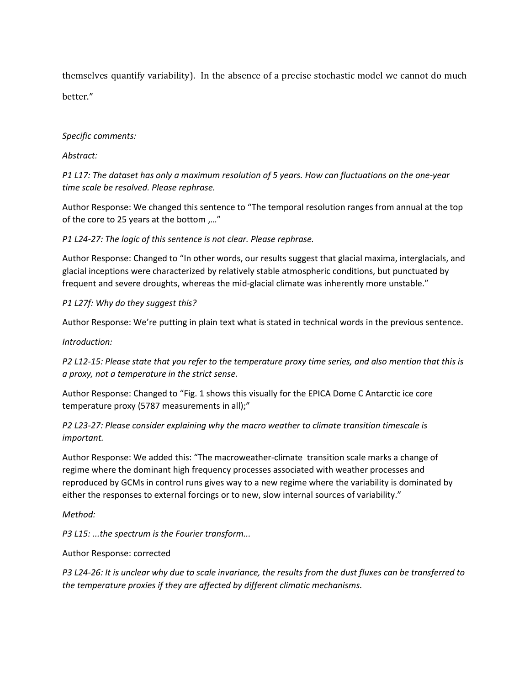themselves quantify variability). In the absence of a precise stochastic model we cannot do much better."

*Specific comments:*

*Abstract:*

*P1 L17: The dataset has only a maximum resolution of 5 years. How can fluctuations on the one-year time scale be resolved. Please rephrase.*

Author Response: We changed this sentence to "The temporal resolution ranges from annual at the top of the core to 25 years at the bottom ,…"

*P1 L24-27: The logic of this sentence is not clear. Please rephrase.*

Author Response: Changed to "In other words, our results suggest that glacial maxima, interglacials, and glacial inceptions were characterized by relatively stable atmospheric conditions, but punctuated by frequent and severe droughts, whereas the mid-glacial climate was inherently more unstable."

*P1 L27f: Why do they suggest this?*

Author Response: We're putting in plain text what is stated in technical words in the previous sentence.

*Introduction:*

*P2 L12-15: Please state that you refer to the temperature proxy time series, and also mention that this is a proxy, not a temperature in the strict sense.*

Author Response: Changed to "Fig. 1 shows this visually for the EPICA Dome C Antarctic ice core temperature proxy (5787 measurements in all);"

*P2 L23-27: Please consider explaining why the macro weather to climate transition timescale is important.*

Author Response: We added this: "The macroweather-climate transition scale marks a change of regime where the dominant high frequency processes associated with weather processes and reproduced by GCMs in control runs gives way to a new regime where the variability is dominated by either the responses to external forcings or to new, slow internal sources of variability."

*Method:*

*P3 L15: ...the spectrum is the Fourier transform...*

Author Response: corrected

*P3 L24-26: It is unclear why due to scale invariance, the results from the dust fluxes can be transferred to the temperature proxies if they are affected by different climatic mechanisms.*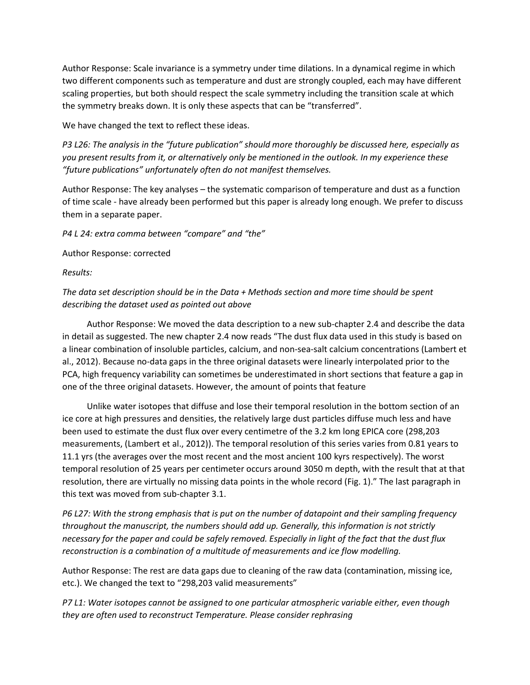Author Response: Scale invariance is a symmetry under time dilations. In a dynamical regime in which two different components such as temperature and dust are strongly coupled, each may have different scaling properties, but both should respect the scale symmetry including the transition scale at which the symmetry breaks down. It is only these aspects that can be "transferred".

We have changed the text to reflect these ideas.

*P3 L26: The analysis in the "future publication" should more thoroughly be discussed here, especially as you present results from it, or alternatively only be mentioned in the outlook. In my experience these "future publications" unfortunately often do not manifest themselves.*

Author Response: The key analyses – the systematic comparison of temperature and dust as a function of time scale - have already been performed but this paper is already long enough. We prefer to discuss them in a separate paper.

*P4 L 24: extra comma between "compare" and "the"*

Author Response: corrected

*Results:*

*The data set description should be in the Data + Methods section and more time should be spent describing the dataset used as pointed out above*

Author Response: We moved the data description to a new sub-chapter 2.4 and describe the data in detail as suggested. The new chapter 2.4 now reads "The dust flux data used in this study is based on a linear combination of insoluble particles, calcium, and non-sea-salt calcium concentrations (Lambert et al., 2012). Because no-data gaps in the three original datasets were linearly interpolated prior to the PCA, high frequency variability can sometimes be underestimated in short sections that feature a gap in one of the three original datasets. However, the amount of points that feature

Unlike water isotopes that diffuse and lose their temporal resolution in the bottom section of an ice core at high pressures and densities, the relatively large dust particles diffuse much less and have been used to estimate the dust flux over every centimetre of the 3.2 km long EPICA core (298,203 measurements, (Lambert et al., 2012)). The temporal resolution of this series varies from 0.81 years to 11.1 yrs (the averages over the most recent and the most ancient 100 kyrs respectively). The worst temporal resolution of 25 years per centimeter occurs around 3050 m depth, with the result that at that resolution, there are virtually no missing data points in the whole record (Fig. 1)." The last paragraph in this text was moved from sub-chapter 3.1.

*P6 L27: With the strong emphasis that is put on the number of datapoint and their sampling frequency throughout the manuscript, the numbers should add up. Generally, this information is not strictly necessary for the paper and could be safely removed. Especially in light of the fact that the dust flux reconstruction is a combination of a multitude of measurements and ice flow modelling.*

Author Response: The rest are data gaps due to cleaning of the raw data (contamination, missing ice, etc.). We changed the text to "298,203 valid measurements"

*P7 L1: Water isotopes cannot be assigned to one particular atmospheric variable either, even though they are often used to reconstruct Temperature. Please consider rephrasing*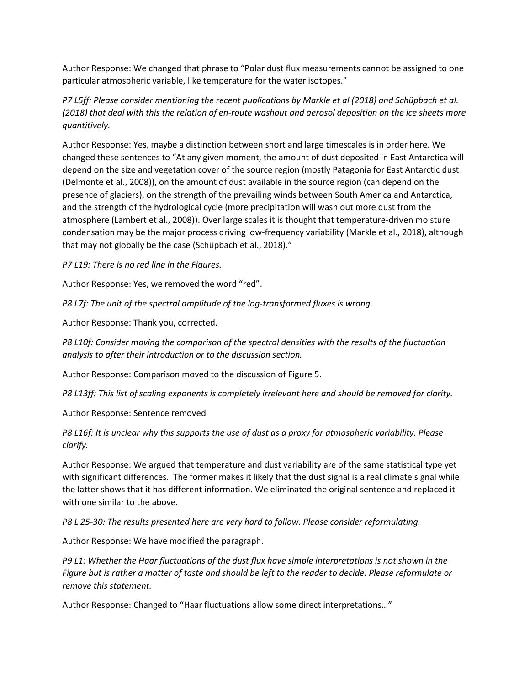Author Response: We changed that phrase to "Polar dust flux measurements cannot be assigned to one particular atmospheric variable, like temperature for the water isotopes."

*P7 L5ff: Please consider mentioning the recent publications by Markle et al (2018) and Schüpbach et al. (2018) that deal with this the relation of en-route washout and aerosol deposition on the ice sheets more quantitively.*

Author Response: Yes, maybe a distinction between short and large timescales is in order here. We changed these sentences to "At any given moment, the amount of dust deposited in East Antarctica will depend on the size and vegetation cover of the source region (mostly Patagonia for East Antarctic dust (Delmonte et al., 2008)), on the amount of dust available in the source region (can depend on the presence of glaciers), on the strength of the prevailing winds between South America and Antarctica, and the strength of the hydrological cycle (more precipitation will wash out more dust from the atmosphere (Lambert et al., 2008)). Over large scales it is thought that temperature-driven moisture condensation may be the major process driving low-frequency variability (Markle et al., 2018), although that may not globally be the case (Schüpbach et al., 2018)."

*P7 L19: There is no red line in the Figures.*

Author Response: Yes, we removed the word "red".

*P8 L7f: The unit of the spectral amplitude of the log-transformed fluxes is wrong.*

Author Response: Thank you, corrected.

*P8 L10f: Consider moving the comparison of the spectral densities with the results of the fluctuation analysis to after their introduction or to the discussion section.*

Author Response: Comparison moved to the discussion of Figure 5.

*P8 L13ff: This list of scaling exponents is completely irrelevant here and should be removed for clarity.*

Author Response: Sentence removed

*P8 L16f: It is unclear why this supports the use of dust as a proxy for atmospheric variability. Please clarify.*

Author Response: We argued that temperature and dust variability are of the same statistical type yet with significant differences. The former makes it likely that the dust signal is a real climate signal while the latter shows that it has different information. We eliminated the original sentence and replaced it with one similar to the above.

*P8 L 25-30: The results presented here are very hard to follow. Please consider reformulating.*

Author Response: We have modified the paragraph.

*P9 L1: Whether the Haar fluctuations of the dust flux have simple interpretations is not shown in the Figure but is rather a matter of taste and should be left to the reader to decide. Please reformulate or remove this statement.*

Author Response: Changed to "Haar fluctuations allow some direct interpretations…"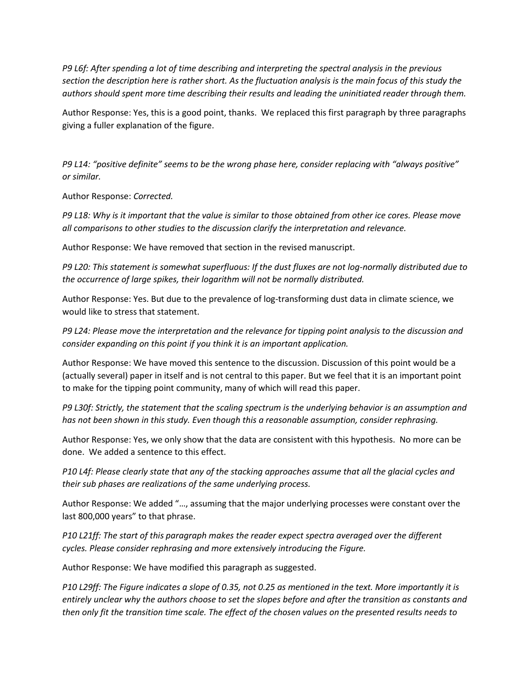*P9 L6f: After spending a lot of time describing and interpreting the spectral analysis in the previous section the description here is rather short. As the fluctuation analysis is the main focus of this study the authors should spent more time describing their results and leading the uninitiated reader through them.*

Author Response: Yes, this is a good point, thanks. We replaced this first paragraph by three paragraphs giving a fuller explanation of the figure.

*P9 L14: "positive definite" seems to be the wrong phase here, consider replacing with "always positive" or similar.*

Author Response: *Corrected.*

*P9 L18: Why is it important that the value is similar to those obtained from other ice cores. Please move all comparisons to other studies to the discussion clarify the interpretation and relevance.*

Author Response: We have removed that section in the revised manuscript.

*P9 L20: This statement is somewhat superfluous: If the dust fluxes are not log-normally distributed due to the occurrence of large spikes, their logarithm will not be normally distributed.*

Author Response: Yes. But due to the prevalence of log-transforming dust data in climate science, we would like to stress that statement.

*P9 L24: Please move the interpretation and the relevance for tipping point analysis to the discussion and consider expanding on this point if you think it is an important application.*

Author Response: We have moved this sentence to the discussion. Discussion of this point would be a (actually several) paper in itself and is not central to this paper. But we feel that it is an important point to make for the tipping point community, many of which will read this paper.

*P9 L30f: Strictly, the statement that the scaling spectrum is the underlying behavior is an assumption and has not been shown in this study. Even though this a reasonable assumption, consider rephrasing.*

Author Response: Yes, we only show that the data are consistent with this hypothesis. No more can be done. We added a sentence to this effect.

*P10 L4f: Please clearly state that any of the stacking approaches assume that all the glacial cycles and their sub phases are realizations of the same underlying process.*

Author Response: We added "…, assuming that the major underlying processes were constant over the last 800,000 years" to that phrase.

*P10 L21ff: The start of this paragraph makes the reader expect spectra averaged over the different cycles. Please consider rephrasing and more extensively introducing the Figure.*

Author Response: We have modified this paragraph as suggested.

*P10 L29ff: The Figure indicates a slope of 0.35, not 0.25 as mentioned in the text. More importantly it is entirely unclear why the authors choose to set the slopes before and after the transition as constants and then only fit the transition time scale. The effect of the chosen values on the presented results needs to*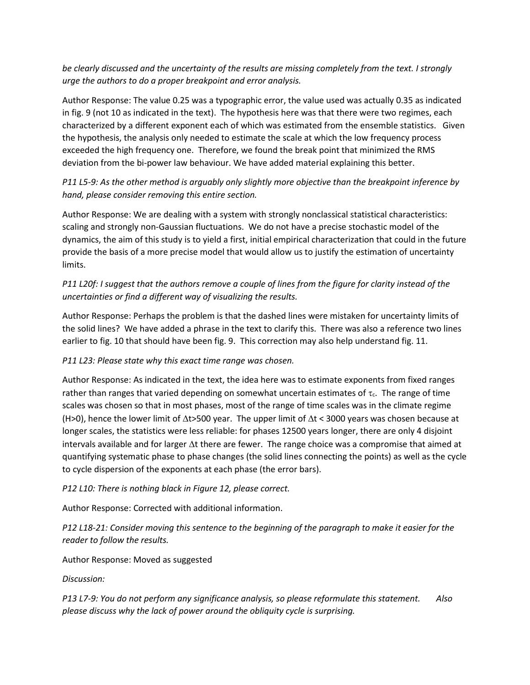*be clearly discussed and the uncertainty of the results are missing completely from the text. I strongly urge the authors to do a proper breakpoint and error analysis.*

Author Response: The value 0.25 was a typographic error, the value used was actually 0.35 as indicated in fig. 9 (not 10 as indicated in the text). The hypothesis here was that there were two regimes, each characterized by a different exponent each of which was estimated from the ensemble statistics. Given the hypothesis, the analysis only needed to estimate the scale at which the low frequency process exceeded the high frequency one. Therefore, we found the break point that minimized the RMS deviation from the bi-power law behaviour. We have added material explaining this better.

## *P11 L5-9: As the other method is arguably only slightly more objective than the breakpoint inference by hand, please consider removing this entire section.*

Author Response: We are dealing with a system with strongly nonclassical statistical characteristics: scaling and strongly non-Gaussian fluctuations. We do not have a precise stochastic model of the dynamics, the aim of this study is to yield a first, initial empirical characterization that could in the future provide the basis of a more precise model that would allow us to justify the estimation of uncertainty limits.

## *P11 L20f: I suggest that the authors remove a couple of lines from the figure for clarity instead of the uncertainties or find a different way of visualizing the results.*

Author Response: Perhaps the problem is that the dashed lines were mistaken for uncertainty limits of the solid lines? We have added a phrase in the text to clarify this. There was also a reference two lines earlier to fig. 10 that should have been fig. 9. This correction may also help understand fig. 11.

### *P11 L23: Please state why this exact time range was chosen.*

Author Response: As indicated in the text, the idea here was to estimate exponents from fixed ranges rather than ranges that varied depending on somewhat uncertain estimates of  $\tau_c$ . The range of time scales was chosen so that in most phases, most of the range of time scales was in the climate regime (H>0), hence the lower limit of  $\Delta t$ >500 year. The upper limit of  $\Delta t$  < 3000 years was chosen because at longer scales, the statistics were less reliable: for phases 12500 years longer, there are only 4 disjoint intervals available and for larger  $\Delta t$  there are fewer. The range choice was a compromise that aimed at quantifying systematic phase to phase changes (the solid lines connecting the points) as well as the cycle to cycle dispersion of the exponents at each phase (the error bars).

### *P12 L10: There is nothing black in Figure 12, please correct.*

Author Response: Corrected with additional information.

*P12 L18-21: Consider moving this sentence to the beginning of the paragraph to make it easier for the reader to follow the results.*

Author Response: Moved as suggested

*Discussion:*

*P13 L7-9: You do not perform any significance analysis, so please reformulate this statement. Also please discuss why the lack of power around the obliquity cycle is surprising.*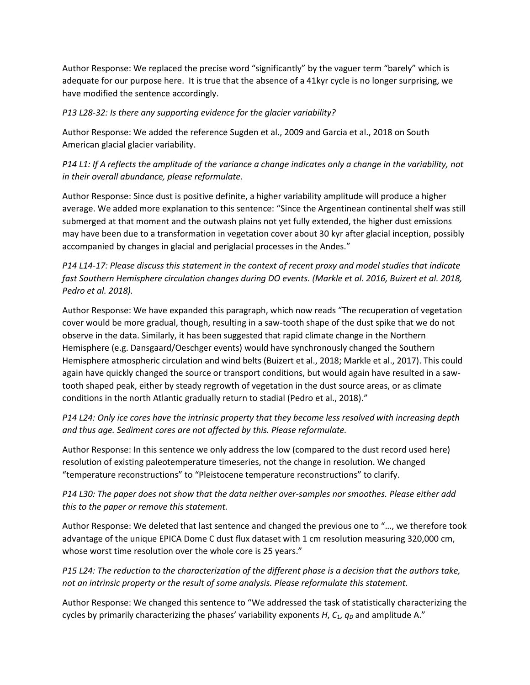Author Response: We replaced the precise word "significantly" by the vaguer term "barely" which is adequate for our purpose here. It is true that the absence of a 41kyr cycle is no longer surprising, we have modified the sentence accordingly.

#### *P13 L28-32: Is there any supporting evidence for the glacier variability?*

Author Response: We added the reference Sugden et al., 2009 and Garcia et al., 2018 on South American glacial glacier variability.

*P14 L1: If A reflects the amplitude of the variance a change indicates only a change in the variability, not in their overall abundance, please reformulate.*

Author Response: Since dust is positive definite, a higher variability amplitude will produce a higher average. We added more explanation to this sentence: "Since the Argentinean continental shelf was still submerged at that moment and the outwash plains not yet fully extended, the higher dust emissions may have been due to a transformation in vegetation cover about 30 kyr after glacial inception, possibly accompanied by changes in glacial and periglacial processes in the Andes."

*P14 L14-17: Please discuss this statement in the context of recent proxy and model studies that indicate fast Southern Hemisphere circulation changes during DO events. (Markle et al. 2016, Buizert et al. 2018, Pedro et al. 2018).*

Author Response: We have expanded this paragraph, which now reads "The recuperation of vegetation cover would be more gradual, though, resulting in a saw-tooth shape of the dust spike that we do not observe in the data. Similarly, it has been suggested that rapid climate change in the Northern Hemisphere (e.g. Dansgaard/Oeschger events) would have synchronously changed the Southern Hemisphere atmospheric circulation and wind belts (Buizert et al., 2018; Markle et al., 2017). This could again have quickly changed the source or transport conditions, but would again have resulted in a sawtooth shaped peak, either by steady regrowth of vegetation in the dust source areas, or as climate conditions in the north Atlantic gradually return to stadial (Pedro et al., 2018)."

*P14 L24: Only ice cores have the intrinsic property that they become less resolved with increasing depth and thus age. Sediment cores are not affected by this. Please reformulate.*

Author Response: In this sentence we only address the low (compared to the dust record used here) resolution of existing paleotemperature timeseries, not the change in resolution. We changed "temperature reconstructions" to "Pleistocene temperature reconstructions" to clarify.

## *P14 L30: The paper does not show that the data neither over-samples nor smoothes. Please either add this to the paper or remove this statement.*

Author Response: We deleted that last sentence and changed the previous one to "…, we therefore took advantage of the unique EPICA Dome C dust flux dataset with 1 cm resolution measuring 320,000 cm, whose worst time resolution over the whole core is 25 years."

## *P15 L24: The reduction to the characterization of the different phase is a decision that the authors take, not an intrinsic property or the result of some analysis. Please reformulate this statement.*

Author Response: We changed this sentence to "We addressed the task of statistically characterizing the cycles by primarily characterizing the phases' variability exponents *H*,  $C_1$ ,  $q_p$  and amplitude A."